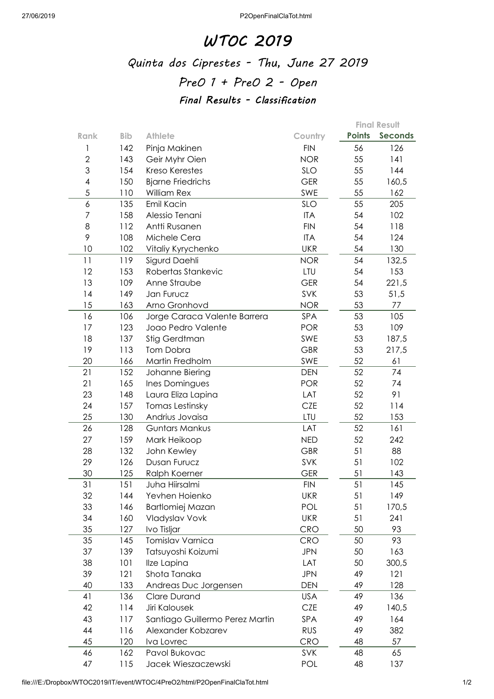## WTOC 2019

## Quinta dos Ciprestes - Thu, June 27 2019 PreO 1 + PreO 2 - Open Final Results - Classification

|                |            |                                 |            | <b>Final Result</b> |         |
|----------------|------------|---------------------------------|------------|---------------------|---------|
| Rank           | <b>Bib</b> | <b>Athlete</b>                  | Country    | <b>Points</b>       | Seconds |
| 1              | 142        | Pinja Makinen                   | <b>FIN</b> | 56                  | 126     |
| $\overline{2}$ | 143        | Geir Myhr Oien                  | <b>NOR</b> | 55                  | 141     |
| 3              | 154        | <b>Kreso Kerestes</b>           | SLO        | 55                  | 144     |
| 4              | 150        | <b>Bjarne Friedrichs</b>        | <b>GER</b> | 55                  | 160,5   |
| 5              | 110        | William Rex                     | SWE        | 55                  | 162     |
| 6              | 135        | Emil Kacin                      | <b>SLO</b> | 55                  | 205     |
| $\overline{7}$ | 158        | Alessio Tenani                  | <b>ITA</b> | 54                  | 102     |
| 8              | 112        | Antti Rusanen                   | <b>FIN</b> | 54                  | 118     |
| 9              | 108        | Michele Cera                    | <b>ITA</b> | 54                  | 124     |
| 10             | 102        | Vitaliy Kyrychenko              | <b>UKR</b> | 54                  | 130     |
| 11             | 119        | Sigurd Daehli                   | <b>NOR</b> | 54                  | 132,5   |
| 12             | 153        | Robertas Stankevic              | LTU        | 54                  | 153     |
| 13             | 109        | Anne Straube                    | <b>GER</b> | 54                  | 221,5   |
| 14             | 149        | Jan Furucz                      | SVK        | 53                  | 51,5    |
| 15             | 163        | Arno Gronhovd                   | <b>NOR</b> | 53                  | $77$    |
| 16             | 106        | Jorge Caraca Valente Barrera    | SPA        | 53                  | 105     |
| 17             | 123        | Joao Pedro Valente              | <b>POR</b> | 53                  | 109     |
| 18             | 137        | Stig Gerdtman                   | SWE        | 53                  | 187,5   |
| 19             | 113        | Tom Dobra                       | <b>GBR</b> | 53                  | 217,5   |
| 20             | 166        | Martin Fredholm                 | SWE        | 52                  | 61      |
| 21             | 152        | Johanne Biering                 | <b>DEN</b> | 52                  | 74      |
| 21             | 165        | Ines Domingues                  | <b>POR</b> | 52                  | 74      |
| 23             | 148        | Laura Eliza Lapina              | LAT        | 52                  | 91      |
| 24             | 157        | Tomas Lestinsky                 | <b>CZE</b> | 52                  | 114     |
| 25             | 130        | Andrius Jovaisa                 | LTU        | 52                  | 153     |
| 26             | 128        | <b>Guntars Mankus</b>           | LAT        | 52                  | 161     |
| 27             | 159        | Mark Heikoop                    | <b>NED</b> | 52                  | 242     |
| 28             | 132        | John Kewley                     | <b>GBR</b> | 51                  | 88      |
| 29             | 126        | Dusan Furucz                    | SVK        | 51                  | 102     |
| 30             | 125        | Ralph Koerner                   | <b>GER</b> | 51                  | 143     |
| 31             | 151        | Juha Hiirsalmi                  | <b>FIN</b> | 51                  | 145     |
| 32             | 144        | Yevhen Hoienko                  | <b>UKR</b> | 51                  | 149     |
| 33             | 146        | <b>Bartlomiej Mazan</b>         | POL        | 51                  | 170,5   |
| 34             | 160        | Vladyslav Vovk                  | <b>UKR</b> | 51                  | 241     |
| 35             | 127        | Ivo Tisljar                     | <b>CRO</b> | 50                  | 93      |
| 35             | 145        | Tomislav Varnica                | <b>CRO</b> | 50                  | 93      |
| 37             | 139        | Tatsuyoshi Koizumi              | <b>JPN</b> | 50                  | 163     |
| 38             | 101        | Ilze Lapina                     | LAT        | 50                  | 300,5   |
| 39             | 121        | Shota Tanaka                    | <b>JPN</b> | 49                  | 121     |
| 40             | 133        | Andreas Duc Jorgensen           | <b>DEN</b> | 49                  | 128     |
| 41             | 136        | <b>Clare Durand</b>             | <b>USA</b> | 49                  | 136     |
| 42             | 114        | Jiri Kalousek                   | <b>CZE</b> | 49                  | 140,5   |
| 43             | 117        | Santiago Guillermo Perez Martin | SPA        | 49                  | 164     |
| 44             | 116        | Alexander Kobzarev              | <b>RUS</b> | 49                  | 382     |
| 45             | 120        | Iva Lovrec                      | <b>CRO</b> | 48                  | 57      |
| 46             | 162        | Pavol Bukovac                   | SVK        | 48                  | 65      |
| 47             | 115        | Jacek Wieszaczewski             | POL        | 48                  | 137     |